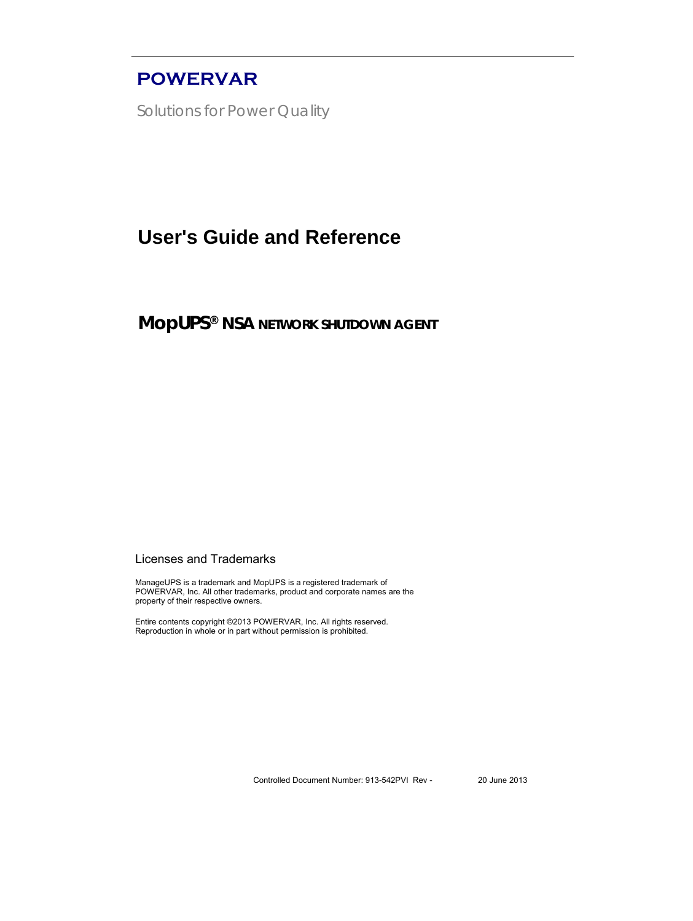## **POWERVAR**

Solutions for Power Quality

## **User's Guide and Reference**

**MopUPS® NSA NETWORK SHUTDOWN AGENT** 

#### Licenses and Trademarks

ManageUPS is a trademark and MopUPS is a registered trademark of POWERVAR, Inc. All other trademarks, product and corporate names are the property of their respective owners.

Entire contents copyright ©2013 POWERVAR, Inc. All rights reserved. Reproduction in whole or in part without permission is prohibited.

Controlled Document Number: 913-542PVI Rev - 20 June 2013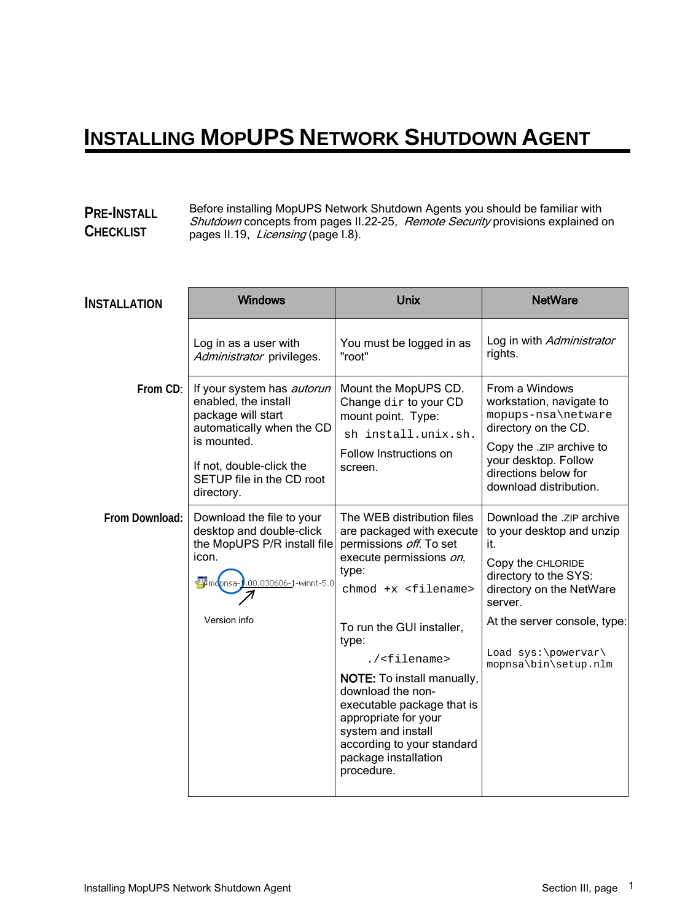## **INSTALLING MOPUPS NETWORK SHUTDOWN AGENT**

### **PRE-INSTALL CHECKLIST**

Before installing MopUPS Network Shutdown Agents you should be familiar with Shutdown concepts from pages II.22-25, Remote Security provisions explained on pages II.19, Licensing (page I.8).

| <b>Windows</b>                                                                                                                                                                                     | <b>Unix</b>                                                                                                                                                                                                                                                                                                                                                                                                    | <b>NetWare</b>                                                                                                                                                                                                                    |
|----------------------------------------------------------------------------------------------------------------------------------------------------------------------------------------------------|----------------------------------------------------------------------------------------------------------------------------------------------------------------------------------------------------------------------------------------------------------------------------------------------------------------------------------------------------------------------------------------------------------------|-----------------------------------------------------------------------------------------------------------------------------------------------------------------------------------------------------------------------------------|
| Log in as a user with<br>Administrator privileges.                                                                                                                                                 | You must be logged in as<br>"root"                                                                                                                                                                                                                                                                                                                                                                             | Log in with Administrator<br>rights.                                                                                                                                                                                              |
| If your system has <i>autorun</i><br>enabled, the install<br>package will start<br>automatically when the CD<br>is mounted.<br>If not, double-click the<br>SETUP file in the CD root<br>directory. | Mount the MopUPS CD.<br>Change dir to your CD<br>mount point. Type:<br>sh install.unix.sh.<br>Follow Instructions on<br>screen.                                                                                                                                                                                                                                                                                | From a Windows<br>workstation, navigate to<br>mopups-nsa\netware<br>directory on the CD.<br>Copy the .zip archive to<br>your desktop. Follow<br>directions below for<br>download distribution.                                    |
| Download the file to your<br>desktop and double-click<br>the MopUPS P/R install file<br>icon.<br>< <mark>■</mark> Imdonsa-<br>0.00.030606-1-winnt-5.0<br>Version info                              | The WEB distribution files<br>are packaged with execute<br>permissions off. To set<br>execute permissions on,<br>type:<br>$chmod +x < fillename$<br>To run the GUI installer,<br>type:<br>./ <filename><br/>NOTE: To install manually,<br/>download the non-<br/>executable package that is<br/>appropriate for your<br/>system and install<br/>according to your standard<br/>package installation</filename> | Download the .zip archive<br>to your desktop and unzip<br>it.<br>Copy the CHLORIDE<br>directory to the SYS:<br>directory on the NetWare<br>server.<br>At the server console, type:<br>Load sys:\powervar\<br>mopnsa\bin\setup.nlm |
|                                                                                                                                                                                                    |                                                                                                                                                                                                                                                                                                                                                                                                                | procedure.                                                                                                                                                                                                                        |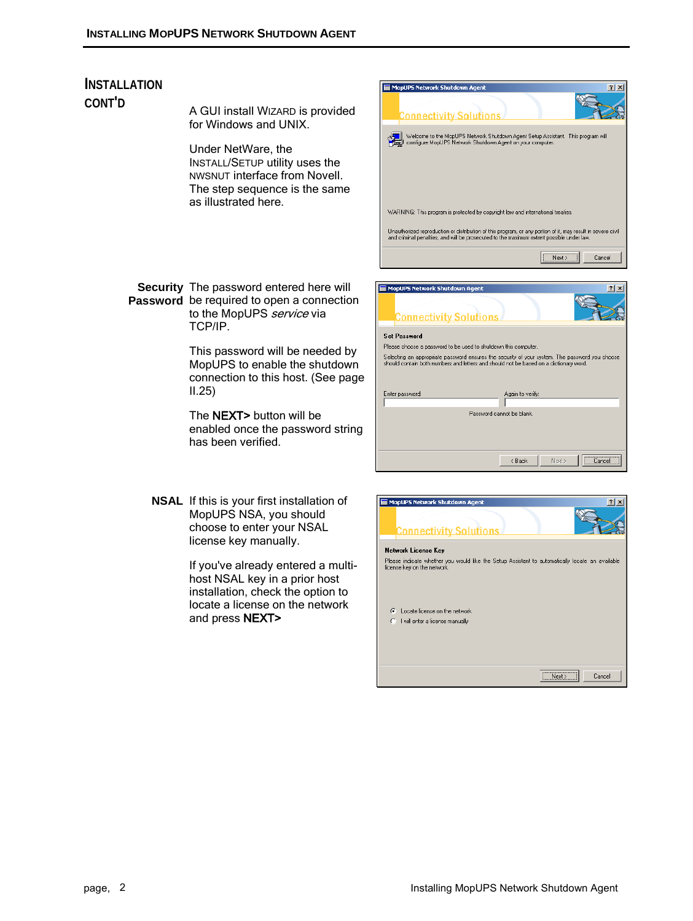# **INSTALLATION**

**CONT'D** A GUI install WIZARD is provided for Windows and UNIX.

> Under NetWare, the INSTALL/SETUP utility uses the NWSNUT interface from Novell. The step sequence is the same as illustrated here.

**Security**  The password entered here will **Password** be required to open a connection to the MopUPS service via TCP/IP.

> This password will be needed by MopUPS to enable the shutdown connection to this host. (See page II.25)

> The NEXT> button will be enabled once the password string has been verified.

**NSAL** If this is your first installation of MopUPS NSA, you should choose to enter your NSAL license key manually.

> If you've already entered a multihost NSAL key in a prior host installation, check the option to locate a license on the network and press NEXT>



Password cannot be blank

Kancel Next> Cancel

| MopUPS Network Shutdown Agent                                                                                                  | ?      |
|--------------------------------------------------------------------------------------------------------------------------------|--------|
| <b>Connectivity Solutions</b>                                                                                                  |        |
| Network License Key                                                                                                            |        |
| Please indicate whether you would like the Setup Assistant to automatically locate an available<br>license key on the network. |        |
| Locate license on the network<br>Æ                                                                                             |        |
| I will enter a license manually                                                                                                |        |
| ,,,,,,,,,,,,,,,,,,,,,,,,,,,,,,,<br>Nevt :<br>                                                                                  | Cancel |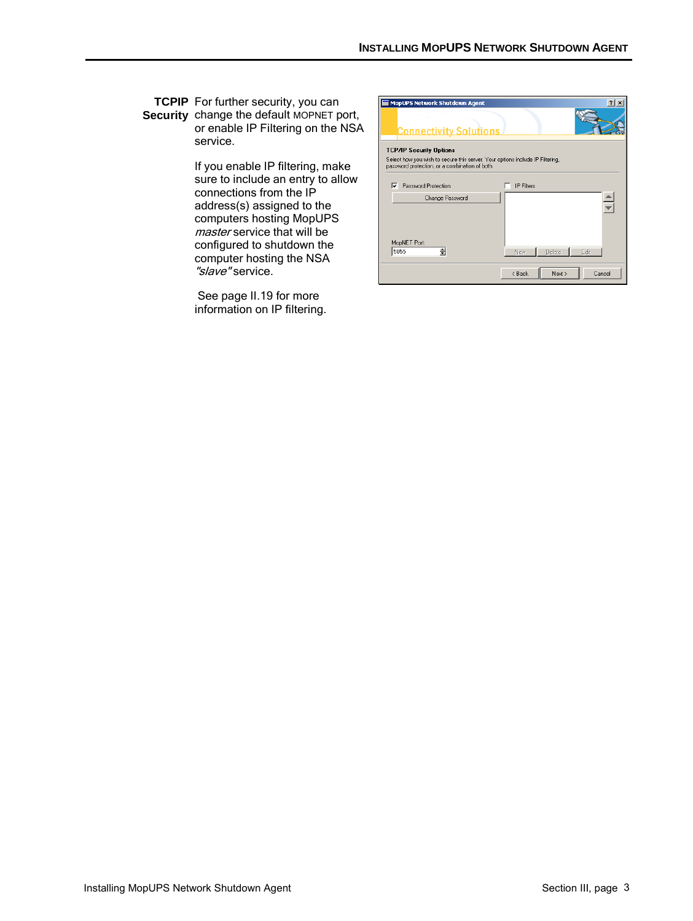#### **TCPIP**  For further security, you can **Security** change the default MOPNET port, or enable IP Filtering on the NSA service.

If you enable IP filtering, make sure to include an entry to allow connections from the IP address(s) assigned to the computers hosting MopUPS master service that will be configured to shutdown the computer hosting the NSA "slave" service.

See page II.19 for more information on IP filtering.

| <b>MopUPS Network Shutdown Agent</b>                                                                                            | ? x                        |
|---------------------------------------------------------------------------------------------------------------------------------|----------------------------|
| <b>Connectivity Solutions</b>                                                                                                   |                            |
| <b>TCP/IP Security Options</b>                                                                                                  |                            |
| Select how you wish to secure this server. Your options include IP Filtering,<br>password protection, or a combination of both. |                            |
| ⊽<br>Password Protection                                                                                                        | <b>IP Filters</b>          |
| Change Password                                                                                                                 |                            |
|                                                                                                                                 |                            |
|                                                                                                                                 |                            |
| MopNET Port:<br>칅<br>5055                                                                                                       | Delete<br>Edit<br>New.     |
|                                                                                                                                 |                            |
|                                                                                                                                 | Cancel<br>< Back<br>Next > |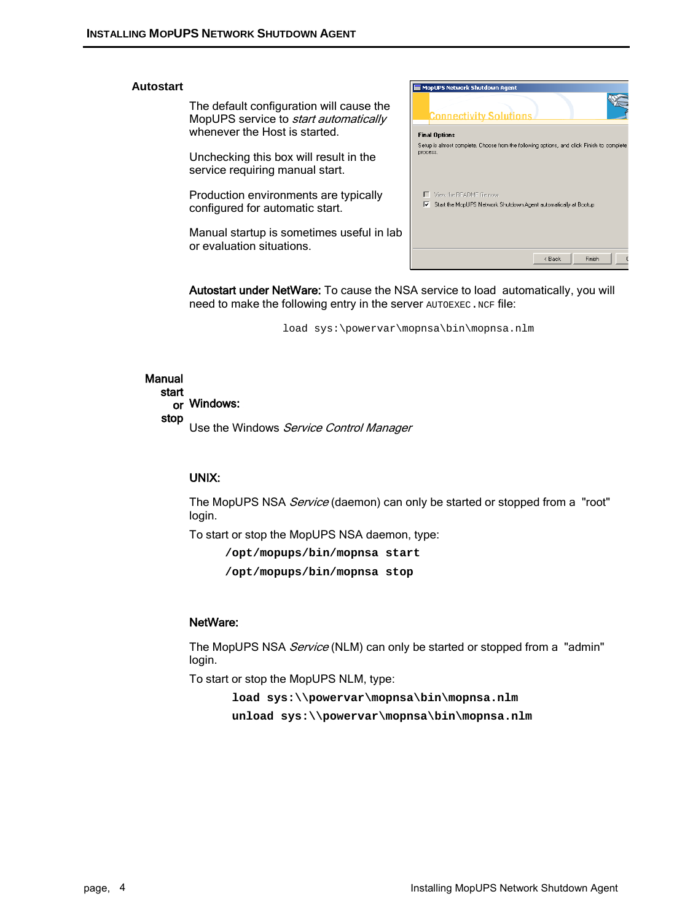#### **Autostart**

The default configuration will cause the MopUPS service to *start automatically* whenever the Host is started.

Unchecking this box will result in the service requiring manual start.

Production environments are typically configured for automatic start.

Manual startup is sometimes useful in lab or evaluation situations.



Autostart under NetWare: To cause the NSA service to load automatically, you will need to make the following entry in the server AUTOEXEC. NCF file:

load sys:\powervar\mopnsa\bin\mopnsa.nlm

#### Manual start or Windows: stop

Use the Windows Service Control Manager

#### UNIX:

The MopUPS NSA *Service* (daemon) can only be started or stopped from a "root" login.

To start or stop the MopUPS NSA daemon, type:

**/opt/mopups/bin/mopnsa start**

**/opt/mopups/bin/mopnsa stop**

#### NetWare:

The MopUPS NSA *Service* (NLM) can only be started or stopped from a "admin" login.

To start or stop the MopUPS NLM, type:

**load sys:\\powervar\mopnsa\bin\mopnsa.nlm unload sys:\\powervar\mopnsa\bin\mopnsa.nlm**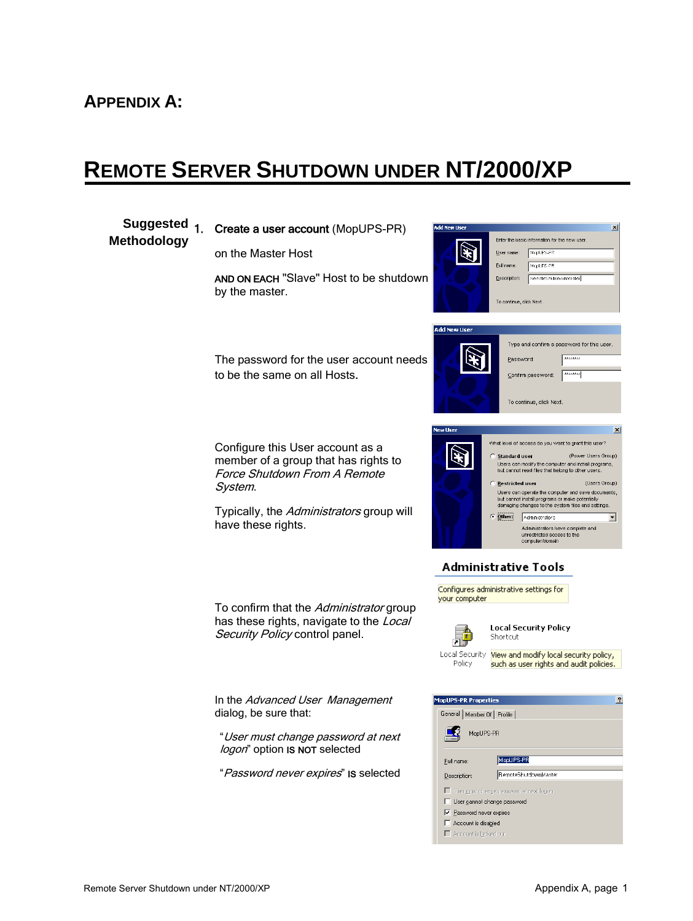## **APPENDIX A:**

**Methodology**

## **REMOTE SERVER SHUTDOWN UNDER NT/2000/XP**

#### **Suggested** Create a user account (MopUPS-PR)  $\mathbf{x}$ Enter the basic information for the new user on the Master Host G User name: MopUPS-PR Eull name MopUPS-PR AND ON EACH "Slave" Host to be shutdown Description: RemoteShutdownMaster by the master. To continue, click Next. **Add New User** Type and confirm a password for this user The password for the user account needs Password . . . . . . . to be the same on all Hosts. Confirm password: To continue, click Next.  $\times$ What level of access do you want to grant this user? Configure this User account as a (Power Users Group) Standard user member of a group that has rights to Users can modify the computer and install programs,<br>but cannot read files that belong to other users. Force Shutdown From A Remote (Users Group) Restricted user System. Users can operate the computer and save documents, but cannot install programs or make potentially<br>damaging changes to the system files and settings. Typically, the Administrators group will Other: Administrators  $\overline{\phantom{a}}$ have these rights. Administrators have complete and<br>unrestricted access to the<br>computer/domain Administrative Tools Configures administrative settings for your computer To confirm that the Administrator group has these rights, navigate to the Local **Local Security Policy** Security Policy control panel. 昂 Shortcut Local Security View and modify local security policy, Policy such as user rights and audit policies. In the Advanced User Management **opUPS-PR Properties**  $\overline{?}$ dialog, be sure that: General | Member Of | Profile | MopUPS-PR "User must change password at next logon" option IS NOT selected MopUPS-PR Full name: "Password never expires" IS selected RemoteShutdownMaste Description: □ User must change password at next logon User cannot change password  $\overline{\triangledown}$  Password never expires  $\Box$  Account is disabled

Account is locked out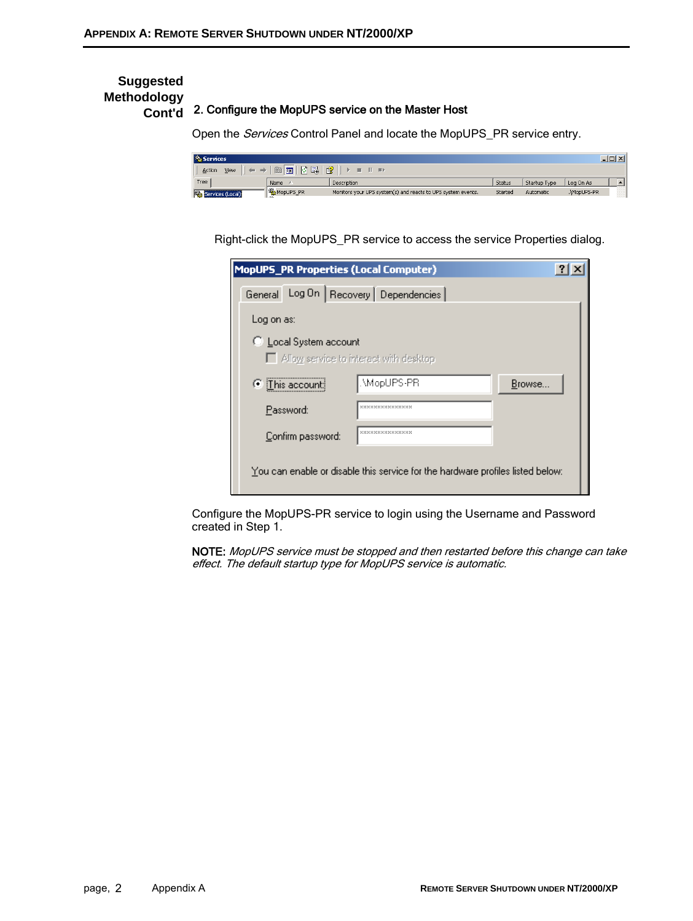#### **Suggested Methodology Cont'd** 2. Configure the MopUPS service on the Master Host

Open the Services Control Panel and locate the MopUPS\_PR service entry.

| <sup>为</sup> 。Services<br>ا التاك                                                                           |           |                                                              |         |              | $\sim$      |  |
|-------------------------------------------------------------------------------------------------------------|-----------|--------------------------------------------------------------|---------|--------------|-------------|--|
| $\mathbb{R}$<br>  肉 民  <br>$\blacksquare$<br>View<br>Action<br>$\blacksquare$ $\blacksquare$ $\blacksquare$ |           |                                                              |         |              |             |  |
| Tree                                                                                                        | Name      | Description                                                  | Status  | Startup Type | Log On As   |  |
| Services (Local)                                                                                            | MopUPS_PR | Monitors your UPS system(s) and reacts to UPS system events. | Started | Automatic    | .\MopUPS-PR |  |

Right-click the MopUPS\_PR service to access the service Properties dialog.

| <b>MopUPS_PR Properties (Local Computer)</b>                                   |                                        |        |  |
|--------------------------------------------------------------------------------|----------------------------------------|--------|--|
| General Log On   Recovery   Dependencies                                       |                                        |        |  |
| Log on as:                                                                     |                                        |        |  |
| C Local System account<br>Allow service to interact with desktop               |                                        |        |  |
| C This account:                                                                | MopUPS-PR                              | Browse |  |
| Password:                                                                      | <b>M M M M M M M M M M M M M M</b>     |        |  |
| Confirm password:                                                              | <b>READER DEDENING BEREADER DE DES</b> |        |  |
| You can enable or disable this service for the hardware profiles listed below: |                                        |        |  |

Configure the MopUPS-PR service to login using the Username and Password created in Step 1.

NOTE: MopUPS service must be stopped and then restarted before this change can take effect. The default startup type for MopUPS service is automatic.